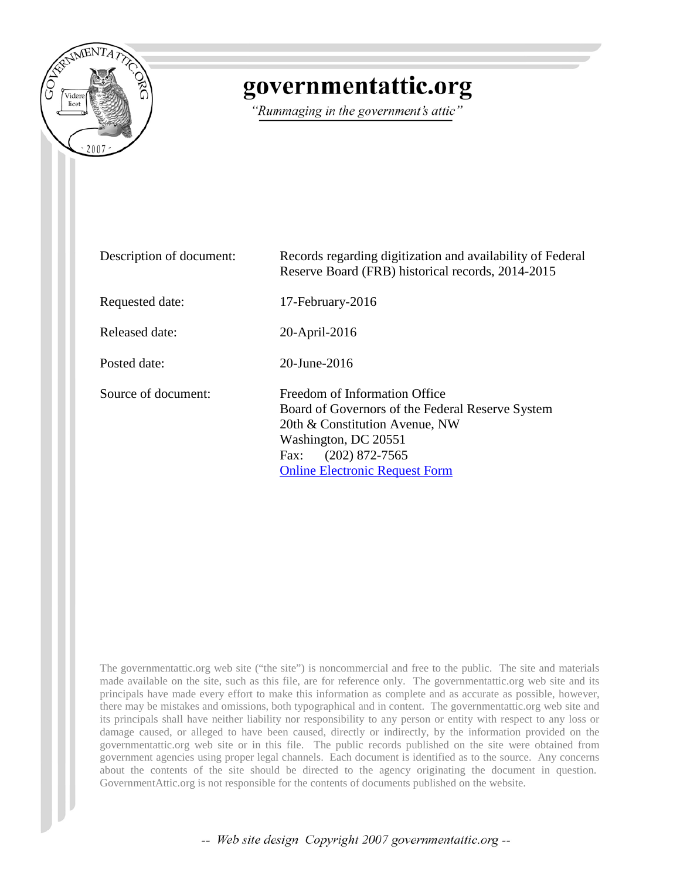

# governmentattic.org

"Rummaging in the government's attic"

| Description of document: | Records regarding digitization and availability of Federal<br>Reserve Board (FRB) historical records, 2014-2015                                                                                                  |
|--------------------------|------------------------------------------------------------------------------------------------------------------------------------------------------------------------------------------------------------------|
| Requested date:          | 17-February-2016                                                                                                                                                                                                 |
| Released date:           | 20-April-2016                                                                                                                                                                                                    |
| Posted date:             | $20$ -June- $2016$                                                                                                                                                                                               |
| Source of document:      | Freedom of Information Office<br>Board of Governors of the Federal Reserve System<br>20th & Constitution Avenue, NW<br>Washington, DC 20551<br>$(202)$ 872-7565<br>Fax:<br><b>Online Electronic Request Form</b> |

The governmentattic.org web site ("the site") is noncommercial and free to the public. The site and materials made available on the site, such as this file, are for reference only. The governmentattic.org web site and its principals have made every effort to make this information as complete and as accurate as possible, however, there may be mistakes and omissions, both typographical and in content. The governmentattic.org web site and its principals shall have neither liability nor responsibility to any person or entity with respect to any loss or damage caused, or alleged to have been caused, directly or indirectly, by the information provided on the governmentattic.org web site or in this file. The public records published on the site were obtained from government agencies using proper legal channels. Each document is identified as to the source. Any concerns about the contents of the site should be directed to the agency originating the document in question. GovernmentAttic.org is not responsible for the contents of documents published on the website.

-- Web site design Copyright 2007 governmentattic.org --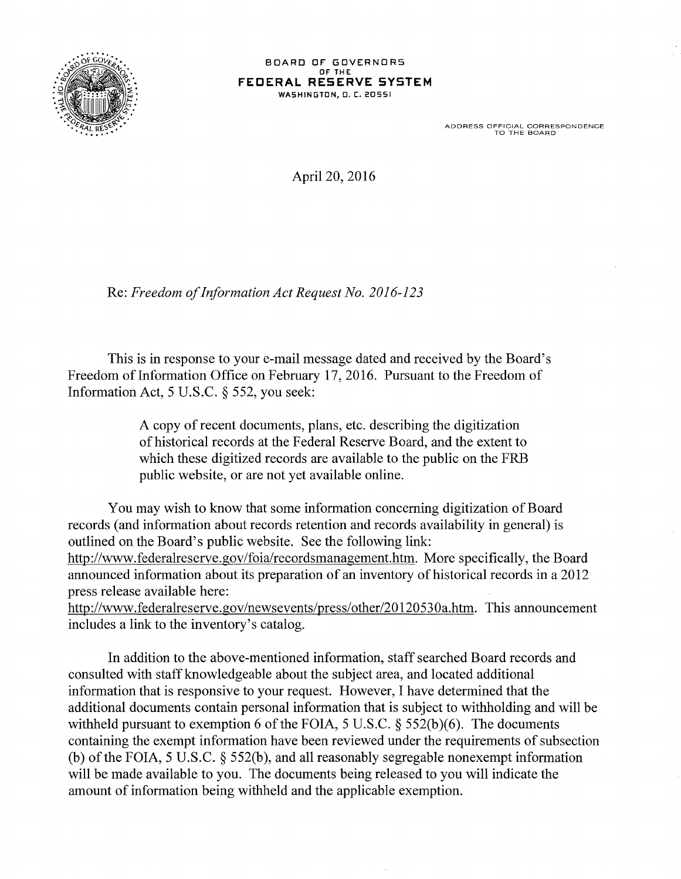

#### BOARD OF GOVERNORS OF' THE: **FEDERAL RESERVE SYSTEM**  WASHINGTON, O. C. 20551

ADDRESS OFFICIAL CORRESPONDENCE TO THE BOARD

April 20, 2016

Re: *Freedom of Information Act Request No. 2016-123* 

This is in response to your e-mail message dated and received by the Board's Freedom of Information Office on February 17, 2016. Pursuant to the Freedom of Information Act, 5 U.S.C. § 552, you seek:

> A copy of recent documents, plans, etc. describing the digitization of historical records at the Federal Reserve Board, and the extent to which these digitized records are available to the public on the FRB public website, or are not yet available online.

You may wish to know that some information concerning digitization of Board records (and infonnation about records retention and records availability in general) is outlined on the Board's public website. See the following link: http://www.federalreserve.gov/foia/recordsmanagement.htm. More specifically, the Board announced information about its preparation of an inventory of historical records in a 2012 press release available here:

http://www.federalreserve.gov/newsevents/press/other/20120530a.htm. This announcement includes a link to the inventory's catalog.

In addition to the above-mentioned information, staff searched Board records and consulted with staff knowledgeable about the subject area, and located additional information that is responsive to your request. However, I have determined that the additional documents contain personal information that is subject to withholding and will be withheld pursuant to exemption 6 of the FOIA, 5 U.S.C.  $\S$  552(b)(6). The documents containing the exempt information have been reviewed under the requirements of subsection (b) of the FOIA, 5 U.S.C. § 552(b), and all reasonably segregable nonexempt information will be made available to you. The documents being released to you will indicate the amount of information being withheld and the applicable exemption.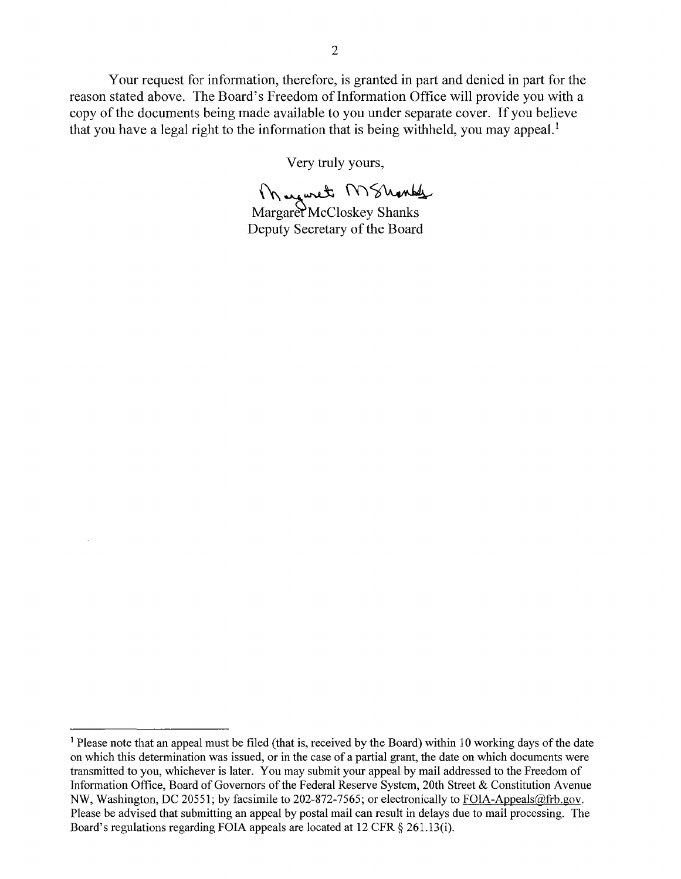Your request for information, therefore, is granted in part and denied in part for the reason stated above. The Board's Freedom of Information Office will provide you with a copy of the documents being made available to you under separate cover. If you believe that you have a legal right to the information that is being withheld, you may appeal.<sup>1</sup>

Very truly yours,

Mayoret MShonds

Margaret McCloskey Shanks Deputy Secretary of the Board

<sup>&</sup>lt;sup>1</sup> Please note that an appeal must be filed (that is, received by the Board) within 10 working days of the date on which this determination was issued, or in the case of a partial grant, the date on which documents were transmitted to you, whichever is later. You may submit your appeal by mail addressed to the Freedom of Information Office, Board of Governors of the Federal Reserve System, 20th Street & Constitution A venue NW, Washington, DC 20551; by facsimile to 202-872-7565; or electronically to FOIA-Appeals@frb.gov. Please be advised that submitting an appeal by postal mail can result in delays due to mail processing. The Board's regulations regarding FOIA appeals are located at 12 CFR § 261.13(i).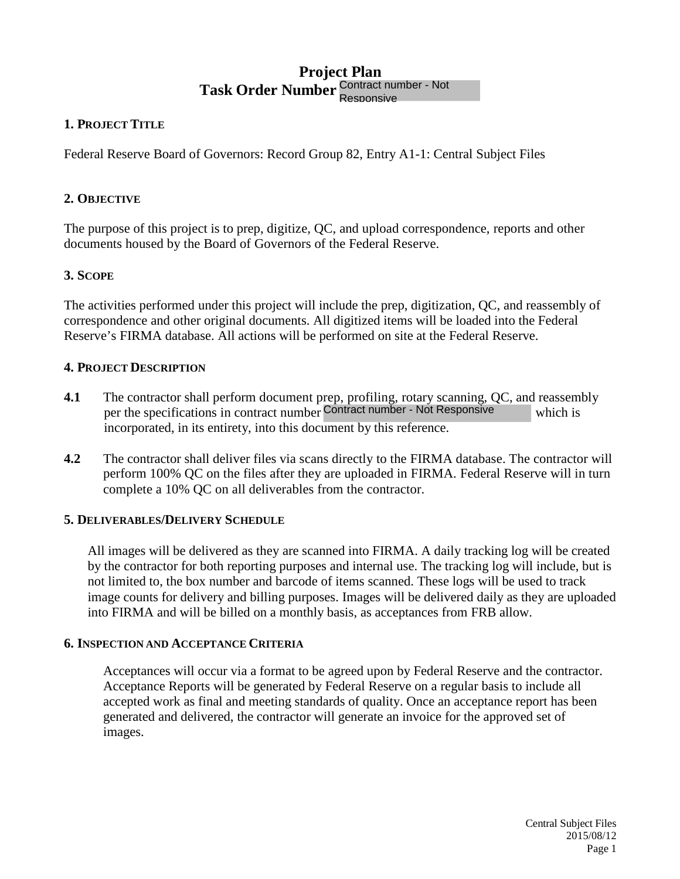# **Project Plan Task Order Number**  Responsive

# **1. PROJECT TITLE**

Federal Reserve Board of Governors: Record Group 82, Entry A1-1: Central Subject Files

# **2. OBJECTIVE**

The purpose of this project is to prep, digitize, QC, and upload correspondence, reports and other documents housed by the Board of Governors of the Federal Reserve.

# **3. SCOPE**

The activities performed under this project will include the prep, digitization, QC, and reassembly of correspondence and other original documents. All digitized items will be loaded into the Federal Reserve's FIRMA database. All actions will be performed on site at the Federal Reserve. er Contract number - Not<br>
oup 82, Entry A1-1: Central Sub<br>
C, and upload correspondence,<br>
f the Federal Reserve.<br>
Include the prep, digitization, QC<br>
Il digitized items will be loaded<br>
performed on site at the Federal l<br>
r

# **4. PROJECT DESCRIPTION**

- **4.1** The contractor shall perform document prep, profiling, rotary scanning, QC, and reassembly per the specifications in contract number Contract number - Not Responsive which is incorporated, in its entirety, into this document by this reference.
- **4.2** The contractor shall deliver files via scans directly to the FIRMA database. The contractor will perform 100% QC on the files after they are uploaded in FIRMA. Federal Reserve will in turn complete a 10% QC on all deliverables from the contractor.

# **5. DELIVERABLES/DELIVERY SCHEDULE**

All images will be delivered as they are scanned into FIRMA. A daily tracking log will be created by the contractor for both reporting purposes and internal use. The tracking log will include, but is not limited to, the box number and barcode of items scanned. These logs will be used to track image counts for delivery and billing purposes. Images will be delivered daily as they are uploaded into FIRMA and will be billed on a monthly basis, as acceptances from FRB allow.

# **6. INSPECTION AND ACCEPTANCE CRITERIA**

Acceptances will occur via a format to be agreed upon by Federal Reserve and the contractor. Acceptance Reports will be generated by Federal Reserve on a regular basis to include all accepted work as final and meeting standards of quality. Once an acceptance report has been generated and delivered, the contractor will generate an invoice for the approved set of images.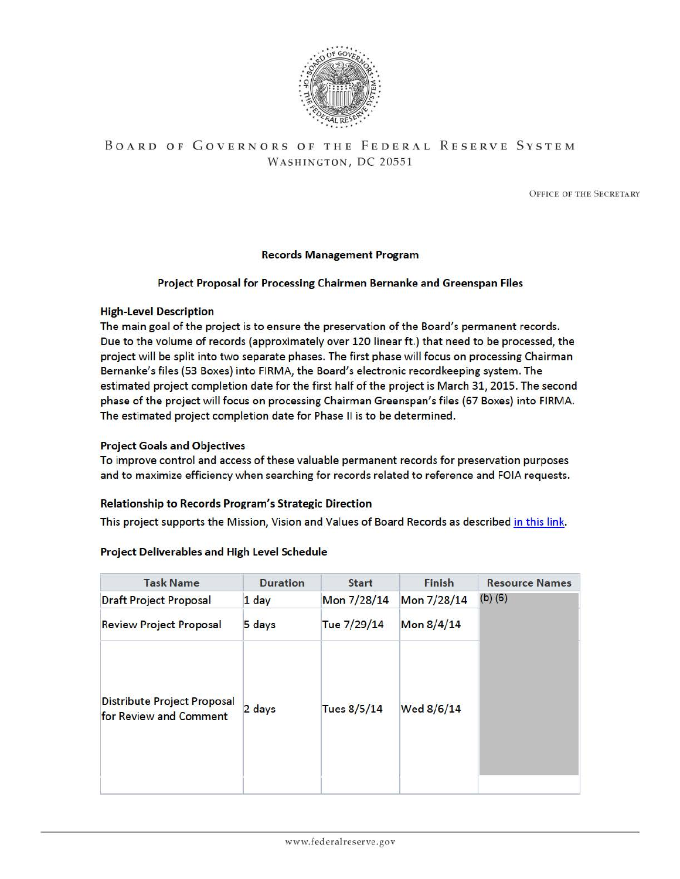

# BOARD OF GOVERNORS OF THE FEDERAL RESERVE SYSTEM WASHINGTON, DC 20551

OFFICE OF TIIE SECRETARY

#### Records Management Program

#### Project Proposal for Processing Chairmen Bernanke and Greenspan Files

#### High-Level Description

The main goal of the project is to ensure the preservation of the Board's permanent records. Due to the volume of records (approximately over 120 linear ft.) that need to be processed, the project will be split into two separate phases. The first phase will focus on processing Chairman Bernanke's files (53 Boxes) into FIRMA, the Board's e lectronic recordkeeping system. The estimated project completion date for the first half of the project is March 31, 2015. The second phase of the project will focus on processing Chairman Greenspan's files (67 Boxes) into FIRMA. The estimated project completion date for Phase II is to be determined.

#### Project Goals and Objectives

To improve control and access of these valuable permanent records for preservation purposes and to maximize efficiency when searching for records related to reference and FOIA requests.

#### Relationship to Records Program's Strategic Direction

This project supports the Mission, Vision and Values of Board Records as described in this link.

#### Project Deliverables and High Level Schedule

| <b>Task Name</b>                                             | <b>Duration</b> | <b>Start</b> | Finish      | <b>Resource Names</b> |
|--------------------------------------------------------------|-----------------|--------------|-------------|-----------------------|
| <b>Draft Project Proposal</b>                                | 1 day           | Mon 7/28/14  | Mon 7/28/14 | $(b)$ $(6)$           |
| <b>Review Project Proposal</b>                               | 5 days          | Tue 7/29/14  | Mon 8/4/14  |                       |
| <b>Distribute Project Proposal</b><br>for Review and Comment | 2 days          | Tues 8/5/14  | Wed 8/6/14  |                       |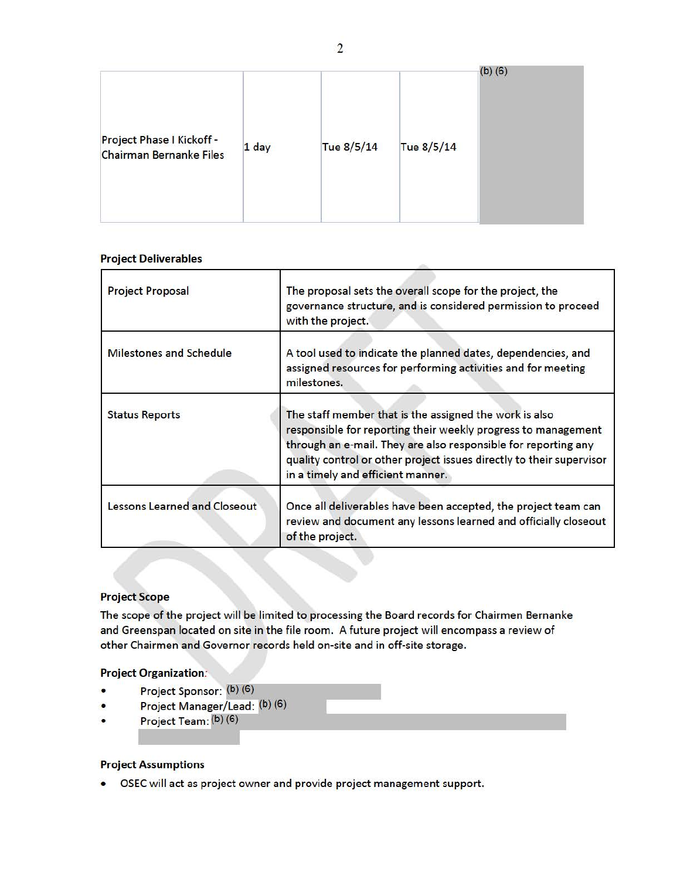| Project Phase I Kickoff -<br>Tue 8/5/14<br>Tue 8/5/14<br>1 day<br><b>Chairman Bernanke Files</b> |  |  |  |  | $(b)$ $(6)$ |
|--------------------------------------------------------------------------------------------------|--|--|--|--|-------------|
|--------------------------------------------------------------------------------------------------|--|--|--|--|-------------|

#### Project Deliverables

| <b>Project Proposal</b>             | The proposal sets the overall scope for the project, the<br>governance structure, and is considered permission to proceed<br>with the project.                                                                                                                                                         |
|-------------------------------------|--------------------------------------------------------------------------------------------------------------------------------------------------------------------------------------------------------------------------------------------------------------------------------------------------------|
| <b>Milestones and Schedule</b>      | A tool used to indicate the planned dates, dependencies, and<br>assigned resources for performing activities and for meeting<br>milestones.                                                                                                                                                            |
| <b>Status Reports</b>               | The staff member that is the assigned the work is also<br>responsible for reporting their weekly progress to management<br>through an e-mail. They are also responsible for reporting any<br>quality control or other project issues directly to their supervisor<br>in a timely and efficient manner. |
| <b>Lessons Learned and Closeout</b> | Once all deliverables have been accepted, the project team can<br>review and document any lessons learned and officially closeout<br>of the project.                                                                                                                                                   |

#### Project Scope

The scope of the project will be limited to processing the Board records for Chairmen Bernanke and Greenspan located on site in the file room. A future project will encompass a review of other Chairmen and Governor records held on-site and in off-site storage.

..-~~~~~~~~~~~~~~~~~~~~~~~-

#### Project Organization:

- Project Sponsor: (b) (6)
- Project Manager/Lead: (b) (6)
- Project Team: (b) (6)

#### Project Assumptions

• OSEC will act as project owner and provide project management support.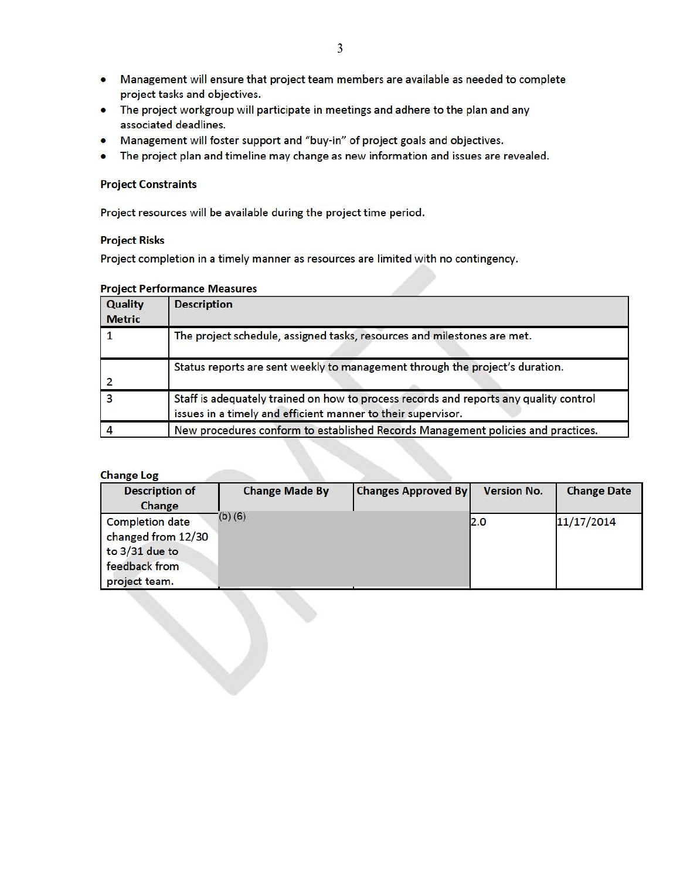- Management will ensure that project team members are available as needed to complete project tasks and objectives.
- The project workgroup will participate in meetings and adhere to the plan and any associated deadlines.
- Management will foster support and "buy-in" of project goals and objectives.
- The project plan and timeline may change as new information and issues are revealed.

#### **Project Constraints**

Project resources will be available during the project time period.

#### **Project Risks**

Project completion in a timely manner as resources are limited with no contingency.

|  | <b>Project Performance Measures</b> |  |
|--|-------------------------------------|--|
|--|-------------------------------------|--|

| Quality<br><b>Metric</b> | <b>Description</b>                                                                                                                                    |
|--------------------------|-------------------------------------------------------------------------------------------------------------------------------------------------------|
|                          | The project schedule, assigned tasks, resources and milestones are met.                                                                               |
|                          | Status reports are sent weekly to management through the project's duration.                                                                          |
|                          | Staff is adequately trained on how to process records and reports any quality control<br>issues in a timely and efficient manner to their supervisor. |
|                          | New procedures conform to established Records Management policies and practices.                                                                      |

#### Change Log

| <b>Change Log</b><br><b>Description of</b><br>Change                                               | <b>Change Made By</b> | <b>Changes Approved By</b> | <b>Version No.</b> | <b>Change Date</b> |
|----------------------------------------------------------------------------------------------------|-----------------------|----------------------------|--------------------|--------------------|
| <b>Completion date</b><br>changed from 12/30<br>to $3/31$ due to<br>feedback from<br>project team. | $(b)$ (6)             |                            | 2.0                | 11/17/2014         |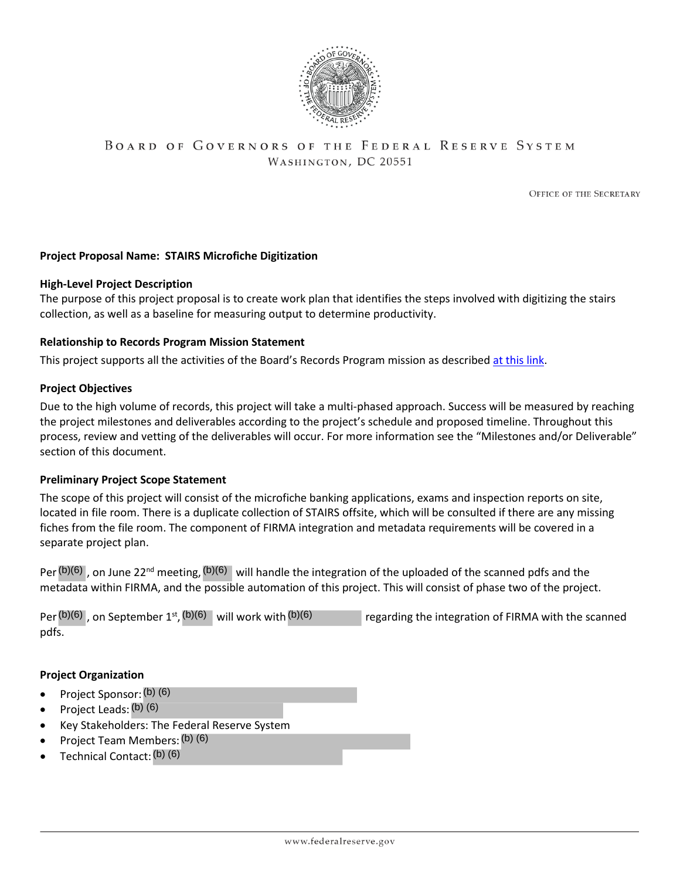

# BOARD OF GOVERNORS OF THE FEDERAL RESERVE SYSTEM WASHINGTON, DC 20551

**OFFICE OF THE SECRETARY** 

#### **Project Proposal Name: STAIRS Microfiche Digitization**

#### **High-Level Project Description**

The purpose of this project proposal is to create work plan that identifies the steps involved with digitizing the stairs collection, as well as a baseline for measuring output to determine productivity.

#### **Relationship to Records Program Mission Statement**

This project supports all the activities of the Board's Records Program mission as described at this link.

#### **Project Objectives**

Due to the high volume of records, this project will take a multi-phased approach. Success will be measured by reaching the project milestones and deliverables according to the project's schedule and proposed timeline. Throughout this process, review and vetting of the deliverables will occur. For more information see the "Milestones and/or Deliverable" section of this document.

#### **Preliminary Project Scope Statement**

The scope of this project will consist of the microfiche banking applications, exams and inspection reports on site, located in file room. There is a duplicate collection of STAIRS offsite, which will be consulted if there are any missing fiches from the file room. The component of FIRMA integration and metadata requirements will be covered in a separate project plan.

| Per $(b)(6)$ , on June 22 <sup>nd</sup> meeting, $(b)(6)$ will handle the integration of the uploaded of the scanned pdfs and the<br>metadata within FIRMA, and the possible automation of this project. This will consist of phase two of the project. |                                                     |
|---------------------------------------------------------------------------------------------------------------------------------------------------------------------------------------------------------------------------------------------------------|-----------------------------------------------------|
| Per(b)(6), on September 1 <sup>st</sup> , $(b)(6)$ will work with $(b)(6)$<br>pdfs.                                                                                                                                                                     | regarding the integration of FIRMA with the scanned |
| <b>Project Organization</b>                                                                                                                                                                                                                             |                                                     |
| • Project Sponsor: $(b)$ (6)                                                                                                                                                                                                                            |                                                     |
| • Project Leads: $(b)$ (6)                                                                                                                                                                                                                              |                                                     |
| • Key Stakeholders: The Federal Reserve System                                                                                                                                                                                                          |                                                     |
| • Project Team Members: (b) (6)                                                                                                                                                                                                                         |                                                     |
| $\bullet$ Technical Contact: (b) (6)                                                                                                                                                                                                                    |                                                     |

#### **Project Organization**

- Project Sponsor: (b) (6)
- Project Leads: (b) (6)
- Key Stakeholders: The Federal Reserve System
- Project Team Members: (b) (6)
- Technical Contact: (b) (6)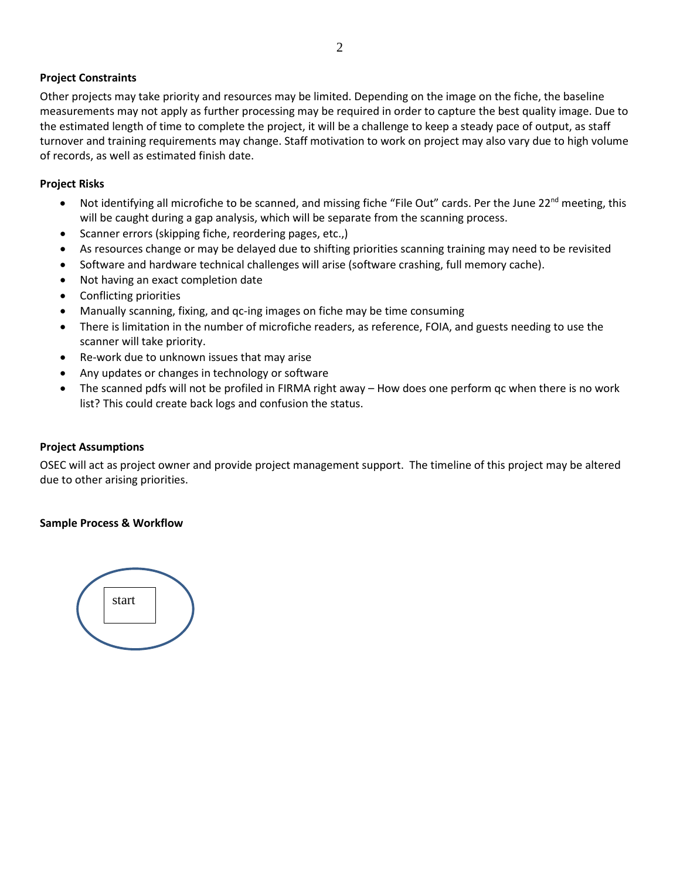## **Project Constraints**

Other projects may take priority and resources may be limited. Depending on the image on the fiche, the baseline measurements may not apply as further processing may be required in order to capture the best quality image. Due to the estimated length of time to complete the project, it will be a challenge to keep a steady pace of output, as staff turnover and training requirements may change. Staff motivation to work on project may also vary due to high volume of records, as well as estimated finish date.

### **Project Risks**

- Not identifying all microfiche to be scanned, and missing fiche "File Out" cards. Per the June  $22^{nd}$  meeting, this will be caught during a gap analysis, which will be separate from the scanning process.
- Scanner errors (skipping fiche, reordering pages, etc.,)
- As resources change or may be delayed due to shifting priorities scanning training may need to be revisited
- Software and hardware technical challenges will arise (software crashing, full memory cache).
- Not having an exact completion date
- Conflicting priorities
- Manually scanning, fixing, and qc-ing images on fiche may be time consuming
- There is limitation in the number of microfiche readers, as reference, FOIA, and guests needing to use the scanner will take priority.
- Re-work due to unknown issues that may arise
- Any updates or changes in technology or software
- The scanned pdfs will not be profiled in FIRMA right away How does one perform qc when there is no work list? This could create back logs and confusion the status.

#### **Project Assumptions**

OSEC will act as project owner and provide project management support. The timeline of this project may be altered due to other arising priorities.

#### **Sample Process & Workflow**

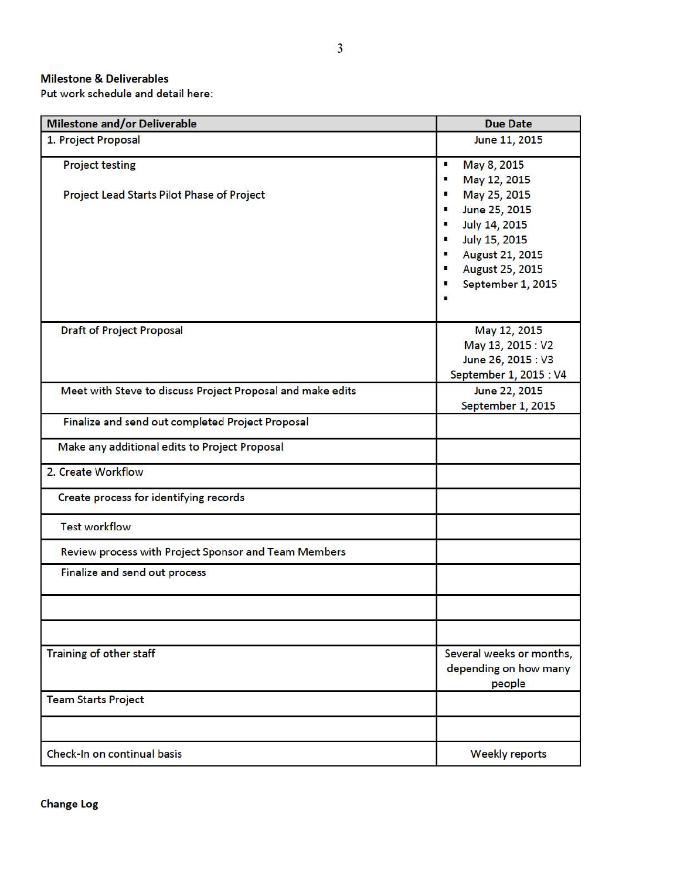#### Milestone & Deliverables

Put work schedule and detail here:

| <b>Milestone and/or Deliverable</b>                                  | <b>Due Date</b>                                                                                                                                                                           |
|----------------------------------------------------------------------|-------------------------------------------------------------------------------------------------------------------------------------------------------------------------------------------|
| 1. Project Proposal                                                  | June 11, 2015                                                                                                                                                                             |
| <b>Project testing</b><br>Project Lead Starts Pilot Phase of Project | May 8, 2015<br>п<br>May 12, 2015<br>٠<br>May 25, 2015<br>June 25, 2015<br>п<br>July 14, 2015<br>п<br>July 15, 2015<br>п<br><b>August 21, 2015</b><br>August 25, 2015<br>September 1, 2015 |
| <b>Draft of Project Proposal</b>                                     | May 12, 2015<br>May 13, 2015: V2<br>June 26, 2015 : V3<br>September 1, 2015 : V4                                                                                                          |
| Meet with Steve to discuss Project Proposal and make edits           | June 22, 2015<br>September 1, 2015                                                                                                                                                        |
| Finalize and send out completed Project Proposal                     |                                                                                                                                                                                           |
| Make any additional edits to Project Proposal                        |                                                                                                                                                                                           |
| 2. Create Workflow                                                   |                                                                                                                                                                                           |
| Create process for identifying records                               |                                                                                                                                                                                           |
| <b>Test workflow</b>                                                 |                                                                                                                                                                                           |
| Review process with Project Sponsor and Team Members                 |                                                                                                                                                                                           |
| Finalize and send out process                                        |                                                                                                                                                                                           |
| <b>Training of other staff</b>                                       | Several weeks or months,<br>depending on how many<br>people                                                                                                                               |
| <b>Team Starts Project</b>                                           |                                                                                                                                                                                           |
| Check-In on continual basis                                          | <b>Weekly reports</b>                                                                                                                                                                     |

Change Log